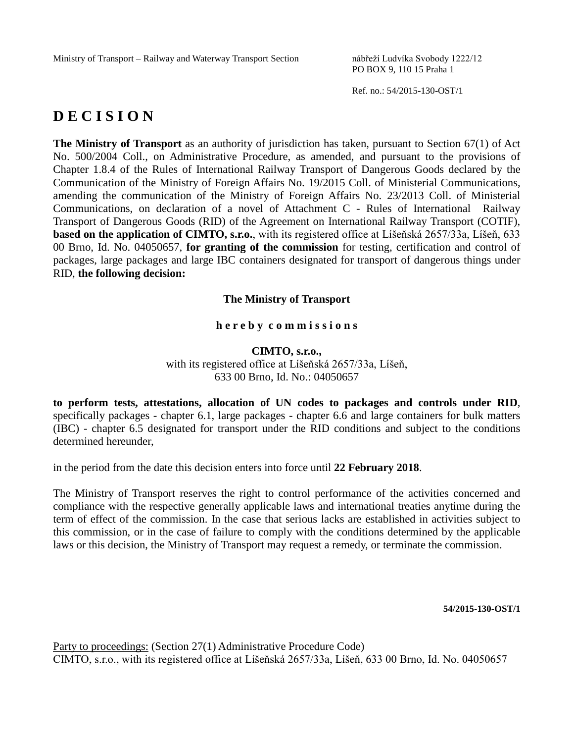PO BOX 9, 110 15 Praha 1

Ref. no.: 54/2015-130-OST/1

# **D E C I S I O N**

**The Ministry of Transport** as an authority of jurisdiction has taken, pursuant to Section 67(1) of Act No. 500/2004 Coll., on Administrative Procedure, as amended, and pursuant to the provisions of Chapter 1.8.4 of the Rules of International Railway Transport of Dangerous Goods declared by the Communication of the Ministry of Foreign Affairs No. 19/2015 Coll. of Ministerial Communications, amending the communication of the Ministry of Foreign Affairs No. 23/2013 Coll. of Ministerial Communications, on declaration of a novel of Attachment C - Rules of International Railway Transport of Dangerous Goods (RID) of the Agreement on International Railway Transport (COTIF), **based on the application of CIMTO, s.r.o.**, with its registered office at Líšeňská 2657/33a, Líšeň, 633 00 Brno, Id. No. 04050657, **for granting of the commission** for testing, certification and control of packages, large packages and large IBC containers designated for transport of dangerous things under RID, **the following decision:**

# **The Ministry of Transport**

### **h e r e b y c o m m i s s i o n s**

# **CIMTO, s.r.o.,** with its registered office at Líšeňská 2657/33a, Líšeň, 633 00 Brno, Id. No.: 04050657

**to perform tests, attestations, allocation of UN codes to packages and controls under RID**, specifically packages - chapter 6.1, large packages - chapter 6.6 and large containers for bulk matters (IBC) - chapter 6.5 designated for transport under the RID conditions and subject to the conditions determined hereunder,

in the period from the date this decision enters into force until **22 February 2018**.

The Ministry of Transport reserves the right to control performance of the activities concerned and compliance with the respective generally applicable laws and international treaties anytime during the term of effect of the commission. In the case that serious lacks are established in activities subject to this commission, or in the case of failure to comply with the conditions determined by the applicable laws or this decision, the Ministry of Transport may request a remedy, or terminate the commission.

**54/2015-130-OST/1**

Party to proceedings: (Section 27(1) Administrative Procedure Code) CIMTO, s.r.o., with its registered office at Líšeňská 2657/33a, Líšeň, 633 00 Brno, Id. No. 04050657